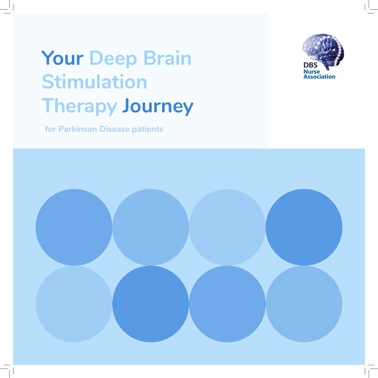# **Your Deep Brain Stimulation Therapy Journey**



**for Parkinson Disease patients**

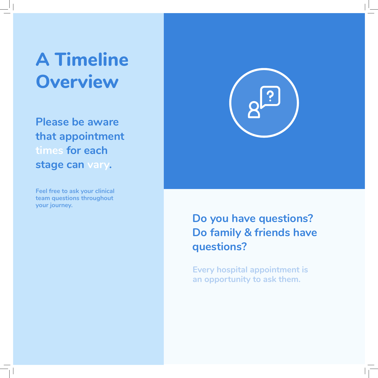## **A Timeline Overview**

**Please be aware that appointment times for each stage can vary.**

**Feel free to ask your clinical team questions throughout your journey.**



### **Do you have questions? Do family & friends have questions?**

**Every hospital appointment is an opportunity to ask them.**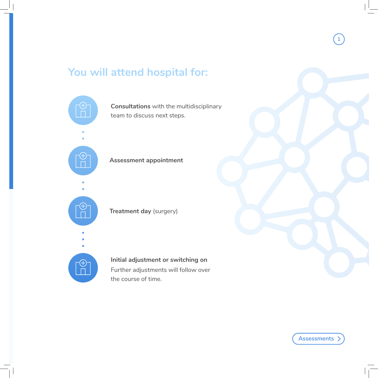### **You will attend hospital for:**

 $\cdot \! \! \left( \pm \right)$  $\bigoplus$  $\Box$  $\begin{array}{c}\n\textcircled{\tiny{+}} \\
\textcircled{\tiny{+}} \\
\textcircled{\tiny{+}}\n\end{array}$ **Treatment day (surgery)** 

**Consultations** with the multidisciplinary team to discuss next steps.

**Assessment appointment**

**Initial adjustment or switching on** Further adjustments will follow over the course of time.



**1**

**Assessments**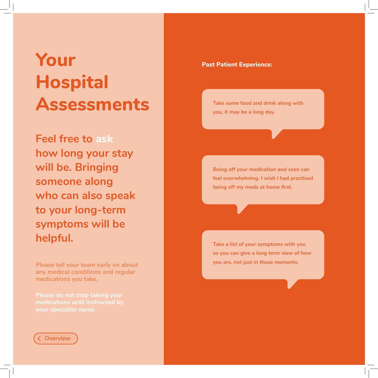## **Your Hospital Assessments**

**Feel free to ask how long your stay will be. Bringing someone along who can also speak to your long-term symptoms will be helpful.**

**Please tell your team early on about any medical conditions and regular medications you take.**

**Please do not stop taking your medications until instructed by your specialist nurse.**



#### **Past Patient Experience:**

**Take some food and drink along with you, it may be a long day.**

**Being off your medication and seen can feel overwhelming. I wish I had practised being off my meds at home first.**

**Take a list of your symptoms with you so you can give a long term view of how you are, not just in those moments.**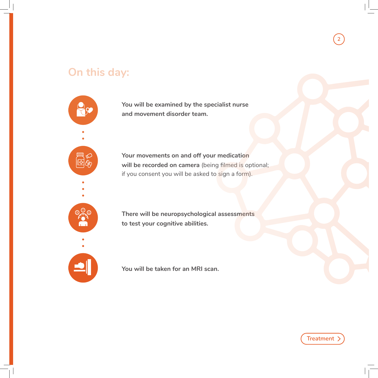### **On this day:**

皿  $\overline{136}$ 

**You will be examined by the specialist nurse and movement disorder team.**

**Your movements on and off your medication will be recorded on camera** (being filmed is optional; if you consent you will be asked to sign a form).

**There will be neuropsychological assessments to test your cognitive abilities.**

**You will be taken for an MRI scan.**

**Treatment**

**2**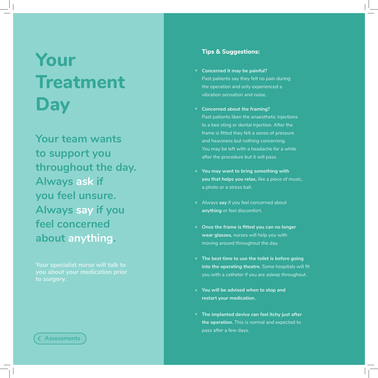## **Your Treatment Day**

**Your team wants to support you throughout the day. Always ask if you feel unsure. Always say if you feel concerned about anything.**

**Your specialist nurse will talk to you about your medication prior to surgery.**

#### **Assessments**

#### **Tips & Suggestions:**

- **Concerned it may be painful?**  Past patients say they felt no pain during the operation and only experienced a vibration sensation and noise.
- **Concerned about the framing?**  Past patients liken the anaesthetic injections to a bee sting or dental injection. After the frame is fitted they felt a sense of pressure and heaviness but nothing concerning. You may be left with a headache for a while after the procedure but it will pass.
- **You may want to bring something with you that helps you relax,** like a piece of music, a photo or a stress ball.
- Always **say** if you feel concerned about **anything** or feel discomfort.
- **Once the frame is fitted you can no longer wear glasses,** nurses will help you with moving around throughout the day.
- **The best time to use the toilet is before going into the operating theatre.** Some hospitals will fit you with a catheter if you are asleep throughout.
- **You will be advised when to stop and restart your medication.**
- **The implanted device can feel itchy just after the operation.** This is normal and expected to pass after a few days.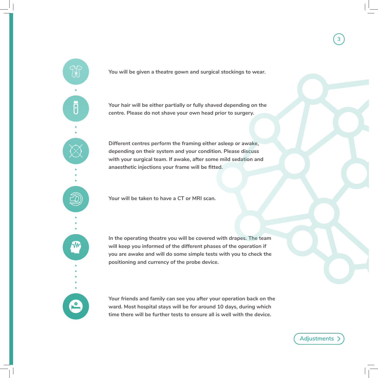



**Different centres perform the framing either asleep or awake, depending on their system and your condition. Please discuss with your surgical team. If awake, after some mild sedation and anaesthetic injections your frame will be fitted.**

**Your will be taken to have a CT or MRI scan.**

 $\mathsf \Pi$ 

**In the operating theatre you will be covered with drapes. The team will keep you informed of the different phases of the operation if you are awake and will do some simple tests with you to check the positioning and currency of the probe device.**

**Your friends and family can see you after your operation back on the ward. Most hospital stays will be for around 10 days, during which time there will be further tests to ensure all is well with the device.**

**Adjustments**

**3**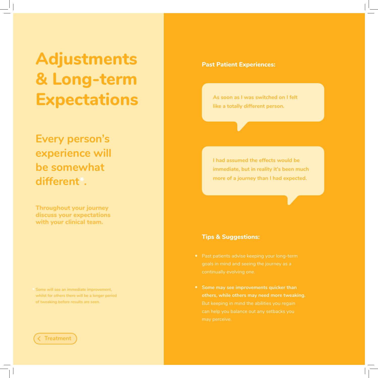## **Adjustments & Long-term Expectations**

**Every person's experience will be somewhat different\*.** 

**Throughout your journey discuss your expectations with your clinical team.**

**Some will see an immediate improvement, \* whilst for others there will be a longer period of tweaking before results are seen.**

#### **Treatment**

#### **Past Patient Experiences:**

**As soon as I was switched on I felt like a totally different person.**

**I had assumed the effects would be immediate, but in reality it's been much more of a journey than I had expected.**

#### **Tips & Suggestions:**

- 
- **•** Some may see improvements quicker than **others, while others may need more tweaking.**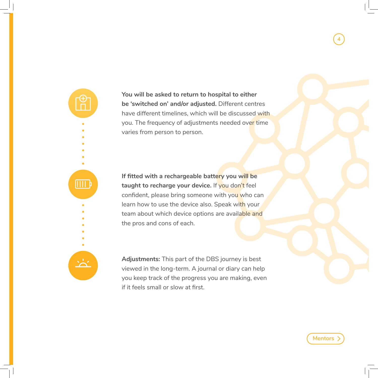**You will be asked to return to hospital to either be 'switched on' and/or adjusted.** Different centres have different timelines, which will be discussed with you. The frequency of adjustments needed over time varies from person to person.

**If fitted with a rechargeable battery you will be**  taught to recharge your device. If you don't feel confident, please bring someone with you who can learn how to use the device also. Speak with your team about which device options are available and the pros and cons of each.

 $\overline{\mathbb{H}\mathbb{H}}$ 

**Adjustments:** This part of the DBS journey is best viewed in the long-term. A journal or diary can help you keep track of the progress you are making, even if it feels small or slow at first.

**Mentors**

**4**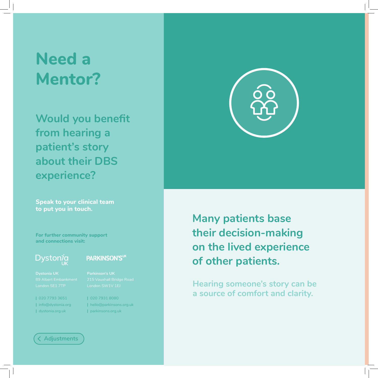### **Need a Mentor?**

**Would you benefit from hearing a patient's story about their DBS experience?** 

**Speak to your clinical team to put you in touch.**

**For further community support and connections visit:**

### **Dystonia**

### PARKINSON'SUK

**|** 020 7793 3651 **|** info@dystonia.org

**|** dystonia.org.uk

**|** 020 7931 8080 **|** hello@parkinsons.org.uk **|** parkinsons.org.uk





**Many patients base their decision-making on the lived experience of other patients.** 

**Hearing someone's story can be a source of comfort and clarity.**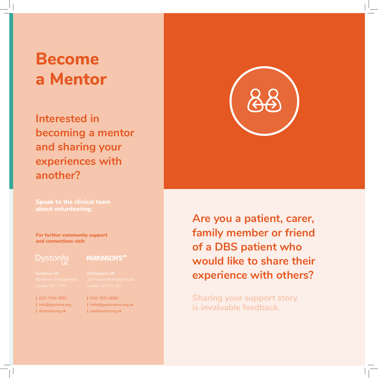### **Become a Mentor**

**Interested in becoming a mentor and sharing your experiences with another?**

**Speak to the clinical team about volunteering.**

**For further community support and connections visit:**

**|** 020 7793 3651 **|** info@dystonia.org **|** dystonia.org.uk

#### **PARKINSON'SUK**

**|** 020 7931 8080 **|** hello@parkinsons.org.uk **|** parkinsons.org.uk

**Are you a patient, carer, family member or friend of a DBS patient who would like to share their experience with others?**

**Sharing your support story is invaluable feedback.**